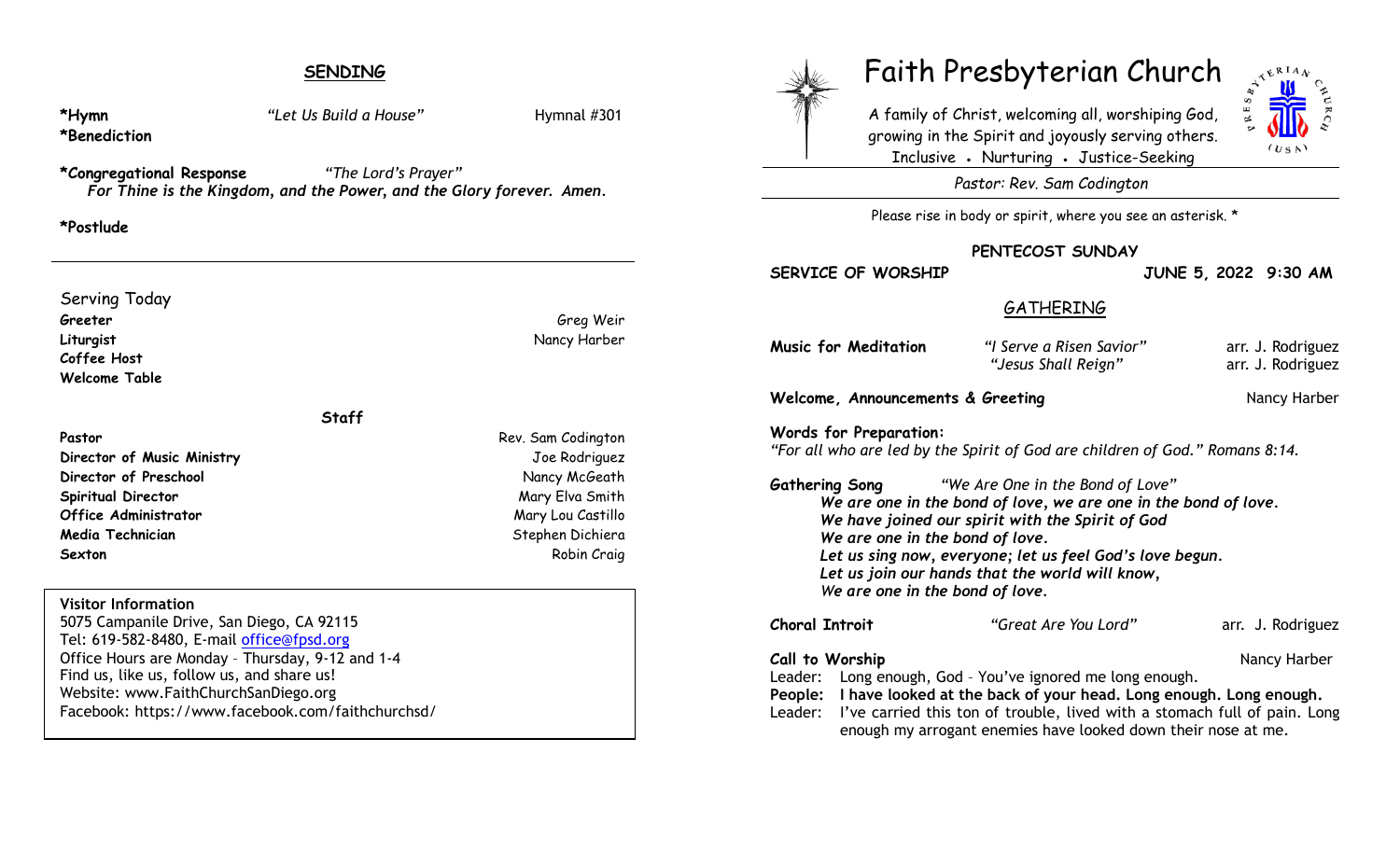# **SENDING**

**\*Hymn** *"Let Us Build a House"* Hymnal #301 **\*Benediction \*Congregational Response** *"The Lord's Prayer" For Thine is the Kingdom, and the Power, and the Glory forever. Amen.*  **\*Postlude**  Serving Today **Greeter** Green Green Green Green Green Green Green Green Green Green Green Green Green Green Green Green Green G **Liturgist** Nancy Harber **Coffee Host Welcome Table Staff Pastor** Rev. Sam Codington **Director of Music Ministry** Joe Rodriguez **Director of Preschool** Nancy McGeath **Spiritual Director** Mary Elva Smith **Office Administrator** Mary Lou Castillo **Media Technician** Stephen Dichiera (Stephen Dichiera Stephen Dichiera ) **Sexton** Robin Craig **Visitor Information** 5075 Campanile Drive, San Diego, CA 92115 Tel: 619-582-8480, E-mail office@fpsd.org Office Hours are Monday – Thursday, 9-12 and 1-4 Find us, like us, follow us, and share us! Website: www.FaithChurchSanDiego.org Facebook: https://www.facebook.com/faithchurchsd/ A family of Christ, welcoming all, worshiping God, growing in the Spirit and joyously serving others. Inclusive • Nurturing • Justice-Seeking *Pastor: Rev. Sam Codington* Please rise in body or spirit, where you see an asterisk. \* **PENTECOST SUNDAY SERVICE OF WORSHIP JUNE 5, 2022 9:30 AM GATHERING Music for Meditation** *"I Serve a Risen Savior"* arr. J. Rodriguez *"Jesus Shall Reign"* arr. J. Rodriguez **Welcome, Announcements & Greeting** *Nancy Harber* **Nancy Harber Words for Preparation:** *"For all who are led by the Spirit of God are children of God." Romans 8:14.*  **Gathering Song** *"We Are One in the Bond of Love" We are one in the bond of love, we are one in the bond of love. We have joined our spirit with the Spirit of God We are one in the bond of love. Let us sing now, everyone; let us feel God's love begun. Let us join our hands that the world will know, We are one in the bond of love.* **Choral Introit** *"Great Are You Lord"* arr. J. Rodriguez **Call to Worship Call to Worship Nancy Harber Nancy Harber Nancy Harber Nancy Harber** Leader: Long enough, God – You've ignored me long enough. **People: I have looked at the back of your head. Long enough. Long enough.**

Leader: I've carried this ton of trouble, lived with a stomach full of pain. Long enough my arrogant enemies have looked down their nose at me.

Faith Presbyterian Church